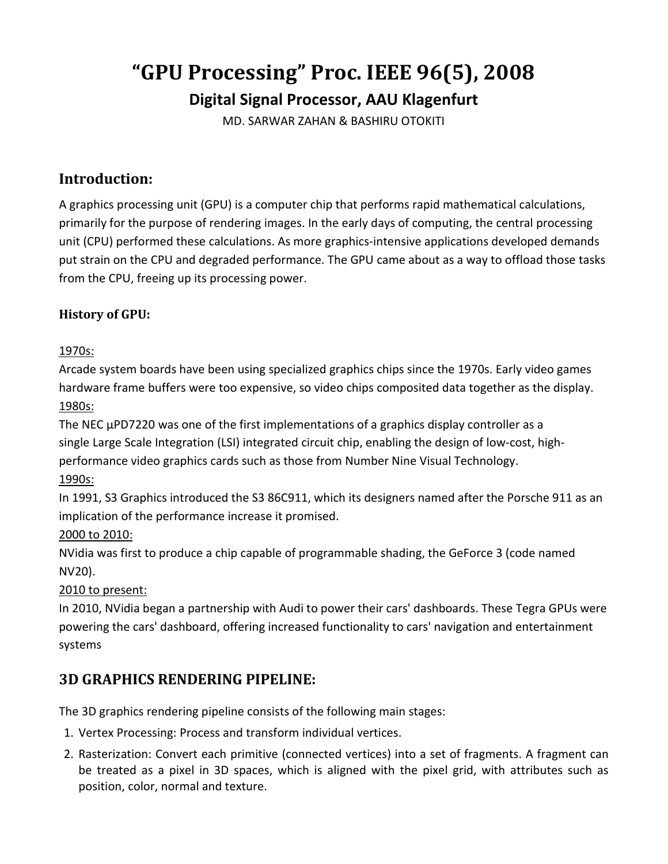# **"GPU Processing" Proc. IEEE 96(5), 2008 Digital Signal Processor, AAU Klagenfurt**

MD. SARWAR ZAHAN & BASHIRU OTOKITI

### **Introduction:**

A graphics processing unit (GPU) is a computer chip that performs rapid mathematical calculations, primarily for the purpose of rendering images. In the early days of computing, the central processing unit (CPU) performed these calculations. As more graphics-intensive applications developed demands put strain on the CPU and degraded performance. The GPU came about as a way to offload those tasks from the CPU, freeing up its processing power.

#### **History of GPU:**

#### 1970s:

Arcade system boards have been using specialized graphics chips since the 1970s. Early video games hardware frame buffers were too expensive, so video chips composited data together as the display. 1980s:

The NEC µPD7220 was one of the first implementations of a graphics display controller as a single Large Scale Integration (LSI) integrated circuit chip, enabling the design of low-cost, highperformance video graphics cards such as those from Number Nine Visual Technology. 1990s:

In 1991, S3 Graphics introduced the S3 86C911, which its designers named after the Porsche 911 as an implication of the performance increase it promised.

#### 2000 to 2010:

NVidia was first to produce a chip capable of programmable shading, the GeForce 3 (code named NV20).

#### 2010 to present:

In 2010, NVidia began a partnership with Audi to power their cars' dashboards. These Tegra GPUs were powering the cars' dashboard, offering increased functionality to cars' navigation and entertainment systems

# **3D GRAPHICS RENDERING PIPELINE:**

The 3D graphics rendering pipeline consists of the following main stages:

- 1. Vertex Processing: Process and transform individual vertices.
- 2. Rasterization: Convert each primitive (connected vertices) into a set of fragments. A fragment can be treated as a pixel in 3D spaces, which is aligned with the pixel grid, with attributes such as position, color, normal and texture.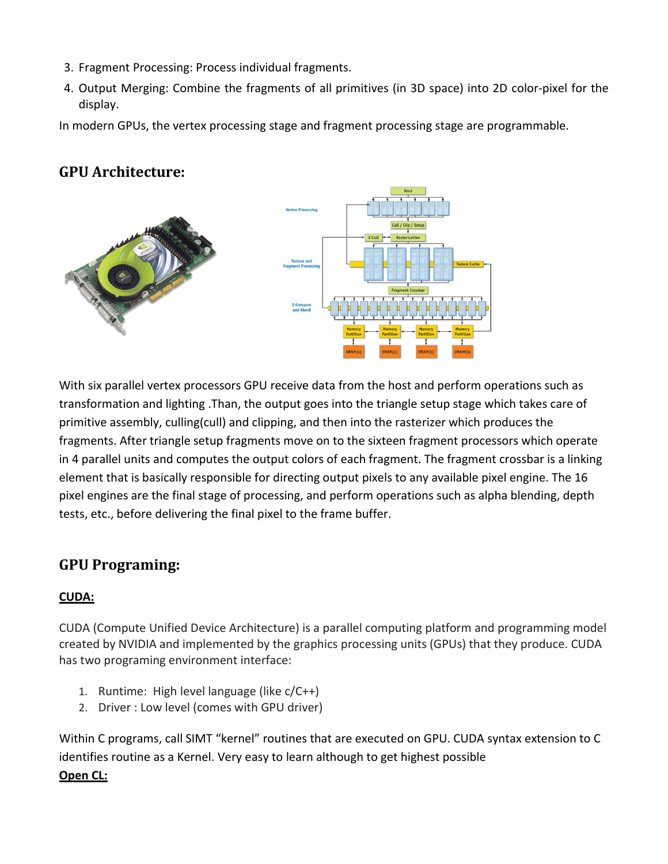- 3. Fragment Processing: Process individual fragments.
- 4. Output Merging: Combine the fragments of all primitives (in 3D space) into 2D color-pixel for the display.

In modern GPUs, the vertex processing stage and fragment processing stage are programmable.

### **GPU Architecture:**



With six parallel vertex processors GPU receive data from the host and perform operations such as transformation and lighting .Than, the output goes into the triangle setup stage which takes care of primitive assembly, culling(cull) and clipping, and then into the rasterizer which produces the fragments. After triangle setup fragments move on to the sixteen fragment processors which operate in 4 parallel units and computes the output colors of each fragment. The fragment crossbar is a linking element that is basically responsible for directing output pixels to any available pixel engine. The 16 pixel engines are the final stage of processing, and perform operations such as alpha blending, depth tests, etc., before delivering the final pixel to the frame buffer.

# **GPU Programing:**

#### **CUDA:**

CUDA (Compute Unified Device Architecture) is a parallel computing platform and programming model created by NVIDIA and implemented by the graphics processing units (GPUs) that they produce. CUDA has two programing environment interface:

- 1. Runtime: High level language (like  $c/C_{++}$ )
- 2. Driver : Low level (comes with GPU driver)

Within C programs, call SIMT "kernel" routines that are executed on GPU. CUDA syntax extension to C identifies routine as a Kernel. Very easy to learn although to get highest possible

#### **Open CL:**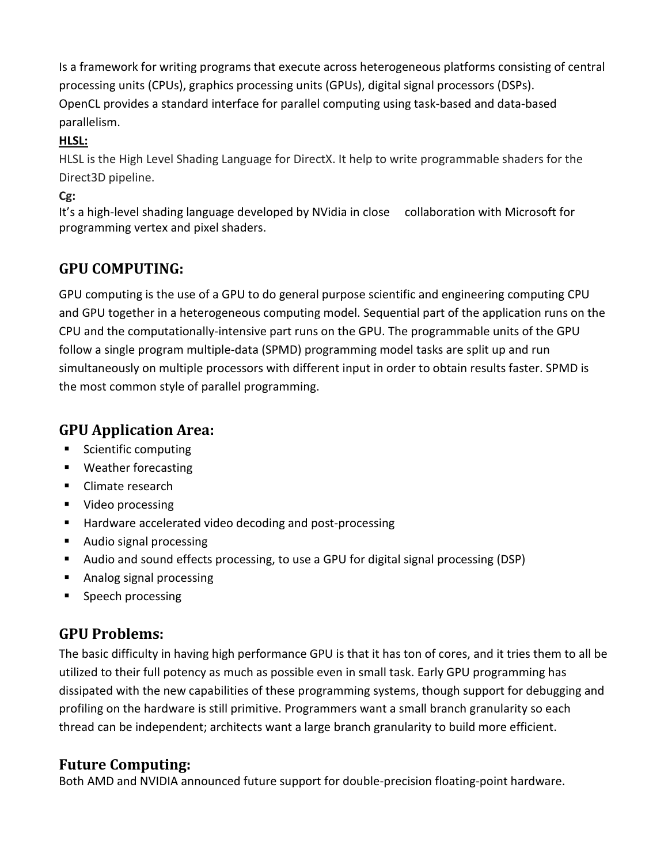Is a framework for writing programs that execute across heterogeneous platforms consisting of central processing units (CPUs), graphics processing units (GPUs), digital signal processors (DSPs). OpenCL provides a standard interface for parallel computing using task-based and data-based parallelism.

#### **HLSL:**

HLSL is the High Level Shading Language for DirectX. It help to write programmable shaders for the Direct3D pipeline.

**Cg:**

It's a high-level shading language developed by NVidia in close collaboration with Microsoft for programming vertex and pixel shaders.

# **GPU COMPUTING:**

GPU computing is the use of a GPU to do general purpose scientific and engineering computing CPU and GPU together in a heterogeneous computing model. Sequential part of the application runs on the CPU and the computationally-intensive part runs on the GPU. The programmable units of the GPU follow a single program multiple-data (SPMD) programming model tasks are split up and run simultaneously on multiple processors with different input in order to obtain results faster. SPMD is the most common style of parallel programming.

### **GPU Application Area:**

- **Scientific computing**
- **Weather forecasting**
- Climate research
- **Video processing**
- Hardware accelerated video decoding and post-processing
- **Audio signal processing**
- Audio and sound effects processing, to use a GPU for digital signal processing (DSP)
- Analog signal processing
- **Speech processing**

# **GPU Problems:**

The basic difficulty in having high performance GPU is that it has ton of cores, and it tries them to all be utilized to their full potency as much as possible even in small task. Early GPU programming has dissipated with the new capabilities of these programming systems, though support for debugging and profiling on the hardware is still primitive. Programmers want a small branch granularity so each thread can be independent; architects want a large branch granularity to build more efficient.

# **Future Computing:**

Both AMD and NVIDIA announced future support for double-precision floating-point hardware.